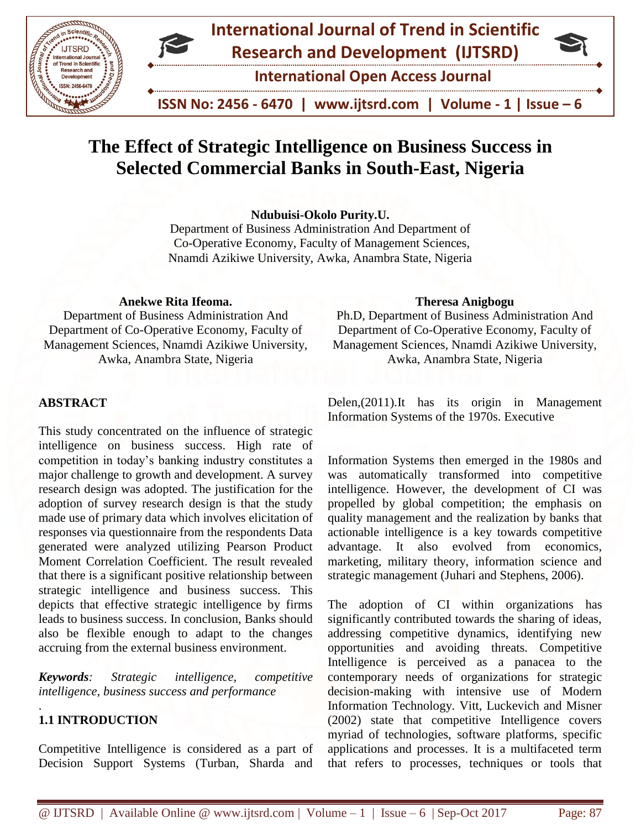

# **International Journal of Trend in Scientific Research and Development (IJTSRD)**

**International Open Access Journal**

 **ISSN No: 2456 - 6470 | www.ijtsrd.com | Volume - 1 | Issue – 6**

# **The Effect of Strategic Intelligence on Business Success in Selected Commercial Banks in South-East, Nigeria**

**Ndubuisi-Okolo Purity.U.** 

Department of Business Administration And Department of Co-Operative Economy, Faculty of Management Sciences, Nnamdi Azikiwe University, Awka, Anambra State, Nigeria

# **Anekwe Rita Ifeoma.**

Department of Business Administration And Department of Co-Operative Economy, Faculty of Management Sciences, Nnamdi Azikiwe University, Awka, Anambra State, Nigeria

# **Theresa Anigbogu**

Ph.D, Department of Business Administration And Department of Co-Operative Economy, Faculty of Management Sciences, Nnamdi Azikiwe University, Awka, Anambra State, Nigeria

# **ABSTRACT**

This study concentrated on the influence of strategic intelligence on business success. High rate of competition in today's banking industry constitutes a major challenge to growth and development. A survey research design was adopted. The justification for the adoption of survey research design is that the study made use of primary data which involves elicitation of responses via questionnaire from the respondents Data generated were analyzed utilizing Pearson Product Moment Correlation Coefficient. The result revealed that there is a significant positive relationship between strategic intelligence and business success. This depicts that effective strategic intelligence by firms leads to business success. In conclusion, Banks should also be flexible enough to adapt to the changes accruing from the external business environment.

*Keywords: Strategic intelligence, competitive intelligence, business success and performance*

# **1.1 INTRODUCTION**

.

Competitive Intelligence is considered as a part of Decision Support Systems (Turban, Sharda and Delen,(2011).It has its origin in Management Information Systems of the 1970s. Executive

Information Systems then emerged in the 1980s and was automatically transformed into competitive intelligence. However, the development of CI was propelled by global competition; the emphasis on quality management and the realization by banks that actionable intelligence is a key towards competitive advantage. It also evolved from economics, marketing, military theory, information science and strategic management (Juhari and Stephens, 2006).

The adoption of CI within organizations has significantly contributed towards the sharing of ideas, addressing competitive dynamics, identifying new opportunities and avoiding threats. Competitive Intelligence is perceived as a panacea to the contemporary needs of organizations for strategic decision-making with intensive use of Modern Information Technology. Vitt, Luckevich and Misner (2002) state that competitive Intelligence covers myriad of technologies, software platforms, specific applications and processes. It is a multifaceted term that refers to processes, techniques or tools that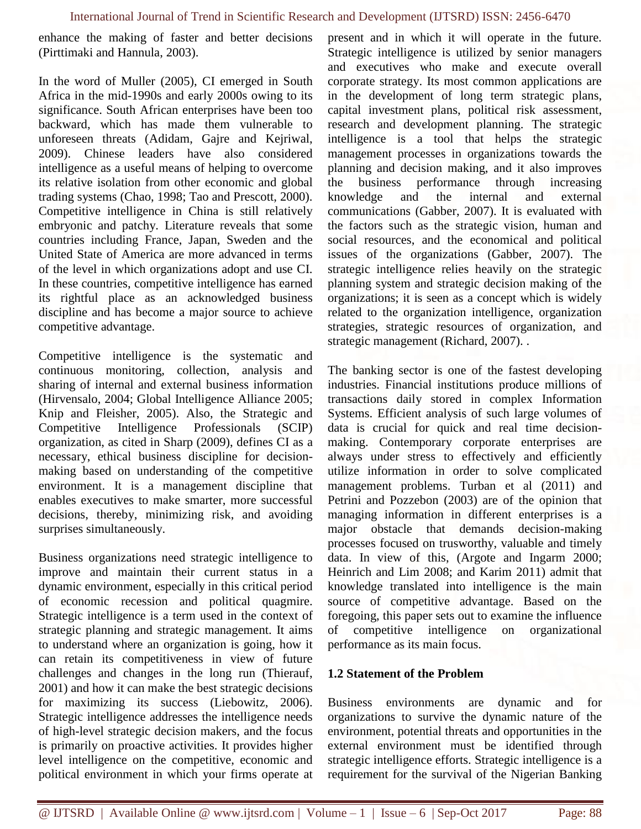enhance the making of faster and better decisions (Pirttimaki and Hannula, 2003).

In the word of Muller (2005), CI emerged in South Africa in the mid-1990s and early 2000s owing to its significance. South African enterprises have been too backward, which has made them vulnerable to unforeseen threats (Adidam, Gajre and Kejriwal, 2009). Chinese leaders have also considered intelligence as a useful means of helping to overcome its relative isolation from other economic and global trading systems (Chao, 1998; Tao and Prescott, 2000). Competitive intelligence in China is still relatively embryonic and patchy. Literature reveals that some countries including France, Japan, Sweden and the United State of America are more advanced in terms of the level in which organizations adopt and use CI. In these countries, competitive intelligence has earned its rightful place as an acknowledged business discipline and has become a major source to achieve competitive advantage.

Competitive intelligence is the systematic and continuous monitoring, collection, analysis and sharing of internal and external business information (Hirvensalo, 2004; Global Intelligence Alliance 2005; Knip and Fleisher, 2005). Also, the Strategic and Competitive Intelligence Professionals (SCIP) organization, as cited in Sharp (2009), defines CI as a necessary, ethical business discipline for decisionmaking based on understanding of the competitive environment. It is a management discipline that enables executives to make smarter, more successful decisions, thereby, minimizing risk, and avoiding surprises simultaneously.

Business organizations need strategic intelligence to improve and maintain their current status in a dynamic environment, especially in this critical period of economic recession and political quagmire. Strategic intelligence is a term used in the context of strategic planning and strategic management. It aims to understand where an organization is going, how it can retain its competitiveness in view of future challenges and changes in the long run (Thierauf, 2001) and how it can make the best strategic decisions for maximizing its success (Liebowitz, 2006). Strategic intelligence addresses the intelligence needs of high-level strategic decision makers, and the focus is primarily on proactive activities. It provides higher level intelligence on the competitive, economic and political environment in which your firms operate at present and in which it will operate in the future. Strategic intelligence is utilized by senior managers and executives who make and execute overall corporate strategy. Its most common applications are in the development of long term strategic plans, capital investment plans, political risk assessment, research and development planning. The strategic intelligence is a tool that helps the strategic management processes in organizations towards the planning and decision making, and it also improves the business performance through increasing knowledge and the internal and external communications (Gabber, 2007). It is evaluated with the factors such as the strategic vision, human and social resources, and the economical and political issues of the organizations (Gabber, 2007). The strategic intelligence relies heavily on the strategic planning system and strategic decision making of the organizations; it is seen as a concept which is widely related to the organization intelligence, organization strategies, strategic resources of organization, and strategic management (Richard, 2007). .

The banking sector is one of the fastest developing industries. Financial institutions produce millions of transactions daily stored in complex Information Systems. Efficient analysis of such large volumes of data is crucial for quick and real time decisionmaking. Contemporary corporate enterprises are always under stress to effectively and efficiently utilize information in order to solve complicated management problems. Turban et al (2011) and Petrini and Pozzebon (2003) are of the opinion that managing information in different enterprises is a major obstacle that demands decision-making processes focused on trusworthy, valuable and timely data. In view of this, (Argote and Ingarm 2000; Heinrich and Lim 2008; and Karim 2011) admit that knowledge translated into intelligence is the main source of competitive advantage. Based on the foregoing, this paper sets out to examine the influence of competitive intelligence on organizational performance as its main focus.

# **1.2 Statement of the Problem**

Business environments are dynamic and for organizations to survive the dynamic nature of the environment, potential threats and opportunities in the external environment must be identified through strategic intelligence efforts. Strategic intelligence is a requirement for the survival of the Nigerian Banking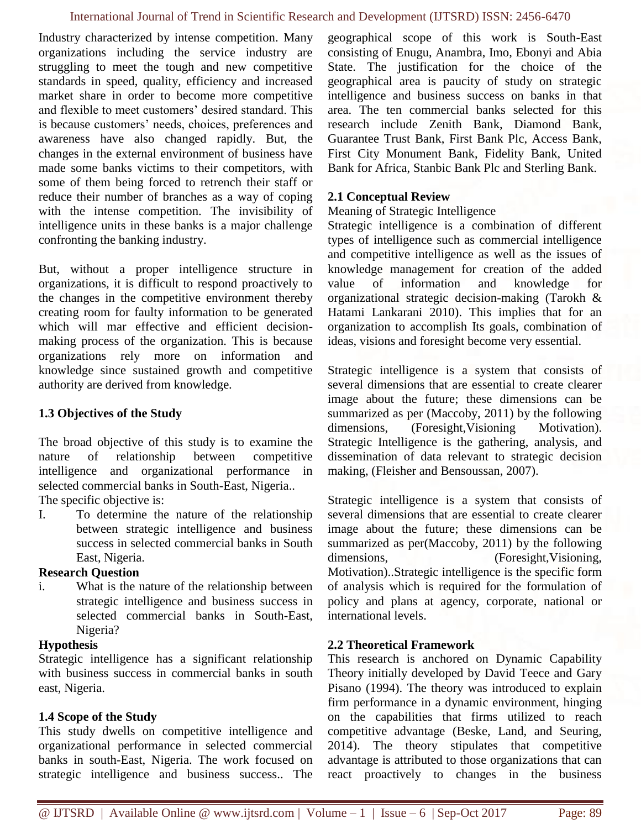Industry characterized by intense competition. Many organizations including the service industry are struggling to meet the tough and new competitive standards in speed, quality, efficiency and increased market share in order to become more competitive and flexible to meet customers' desired standard. This is because customers' needs, choices, preferences and awareness have also changed rapidly. But, the changes in the external environment of business have made some banks victims to their competitors, with some of them being forced to retrench their staff or reduce their number of branches as a way of coping with the intense competition. The invisibility of intelligence units in these banks is a major challenge confronting the banking industry.

But, without a proper intelligence structure in organizations, it is difficult to respond proactively to the changes in the competitive environment thereby creating room for faulty information to be generated which will mar effective and efficient decisionmaking process of the organization. This is because organizations rely more on information and knowledge since sustained growth and competitive authority are derived from knowledge.

# **1.3 Objectives of the Study**

The broad objective of this study is to examine the nature of relationship between competitive intelligence and organizational performance in selected commercial banks in South-East, Nigeria..

The specific objective is:

I. To determine the nature of the relationship between strategic intelligence and business success in selected commercial banks in South East, Nigeria.

# **Research Question**

i. What is the nature of the relationship between strategic intelligence and business success in selected commercial banks in South-East, Nigeria?

# **Hypothesis**

Strategic intelligence has a significant relationship with business success in commercial banks in south east, Nigeria.

# **1.4 Scope of the Study**

This study dwells on competitive intelligence and organizational performance in selected commercial banks in south-East, Nigeria. The work focused on strategic intelligence and business success.. The

geographical scope of this work is South-East consisting of Enugu, Anambra, Imo, Ebonyi and Abia State. The justification for the choice of the geographical area is paucity of study on strategic intelligence and business success on banks in that area. The ten commercial banks selected for this research include Zenith Bank, Diamond Bank, Guarantee Trust Bank, First Bank Plc, Access Bank, First City Monument Bank, Fidelity Bank, United Bank for Africa, Stanbic Bank Plc and Sterling Bank.

#### **2.1 Conceptual Review**

Meaning of Strategic Intelligence

Strategic intelligence is a combination of different types of intelligence such as commercial intelligence and competitive intelligence as well as the issues of knowledge management for creation of the added value of information and knowledge for organizational strategic decision-making (Tarokh & Hatami Lankarani 2010). This implies that for an organization to accomplish Its goals, combination of ideas, visions and foresight become very essential.

Strategic intelligence is a system that consists of several dimensions that are essential to create clearer image about the future; these dimensions can be summarized as per (Maccoby, 2011) by the following dimensions, (Foresight,Visioning Motivation). Strategic Intelligence is the gathering, analysis, and dissemination of data relevant to strategic decision making, (Fleisher and Bensoussan, 2007).

Strategic intelligence is a system that consists of several dimensions that are essential to create clearer image about the future; these dimensions can be summarized as per(Maccoby, 2011) by the following dimensions, (Foresight, Visioning, Motivation)..Strategic intelligence is the specific form of analysis which is required for the formulation of policy and plans at agency, corporate, national or international levels.

# **2.2 Theoretical Framework**

This research is anchored on Dynamic Capability Theory initially developed by David Teece and Gary Pisano (1994). The theory was introduced to explain firm performance in a dynamic environment, hinging on the capabilities that firms utilized to reach competitive advantage (Beske, Land, and Seuring, 2014). The theory stipulates that competitive advantage is attributed to those organizations that can react proactively to changes in the business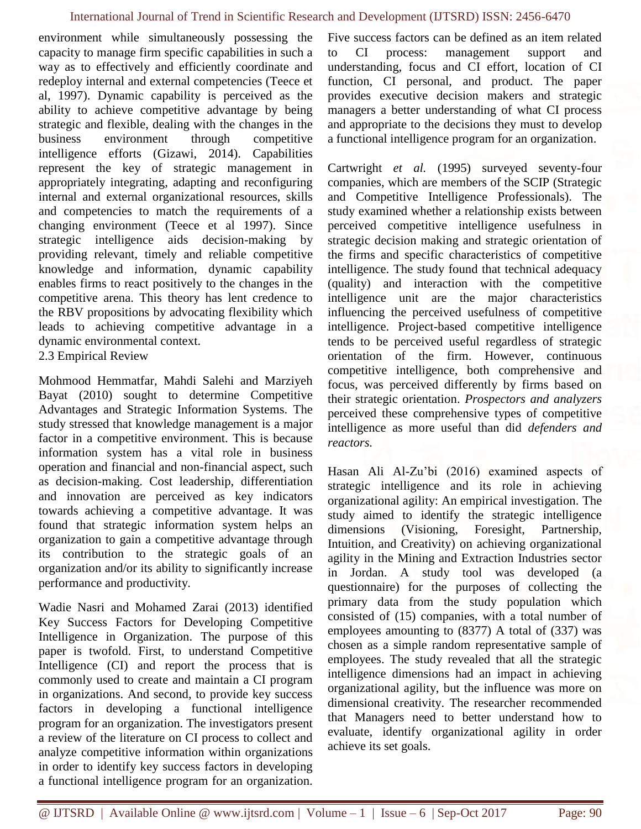environment while simultaneously possessing the capacity to manage firm specific capabilities in such a way as to effectively and efficiently coordinate and redeploy internal and external competencies (Teece et al, 1997). Dynamic capability is perceived as the ability to achieve competitive advantage by being strategic and flexible, dealing with the changes in the business environment through competitive intelligence efforts (Gizawi, 2014). Capabilities represent the key of strategic management in appropriately integrating, adapting and reconfiguring internal and external organizational resources, skills and competencies to match the requirements of a changing environment (Teece et al 1997). Since strategic intelligence aids decision-making by providing relevant, timely and reliable competitive knowledge and information, dynamic capability enables firms to react positively to the changes in the competitive arena. This theory has lent credence to the RBV propositions by advocating flexibility which leads to achieving competitive advantage in a dynamic environmental context.

2.3 Empirical Review

Mohmood Hemmatfar, Mahdi Salehi and Marziyeh Bayat (2010) sought to determine Competitive Advantages and Strategic Information Systems. The study stressed that knowledge management is a major factor in a competitive environment. This is because information system has a vital role in business operation and financial and non-financial aspect, such as decision-making. Cost leadership, differentiation and innovation are perceived as key indicators towards achieving a competitive advantage. It was found that strategic information system helps an organization to gain a competitive advantage through its contribution to the strategic goals of an organization and/or its ability to significantly increase performance and productivity.

Wadie Nasri and Mohamed Zarai (2013) identified Key Success Factors for Developing Competitive Intelligence in Organization. The purpose of this paper is twofold. First, to understand Competitive Intelligence (CI) and report the process that is commonly used to create and maintain a CI program in organizations. And second, to provide key success factors in developing a functional intelligence program for an organization. The investigators present a review of the literature on CI process to collect and analyze competitive information within organizations in order to identify key success factors in developing a functional intelligence program for an organization. Five success factors can be defined as an item related to CI process: management support and understanding, focus and CI effort, location of CI function, CI personal, and product. The paper provides executive decision makers and strategic managers a better understanding of what CI process and appropriate to the decisions they must to develop a functional intelligence program for an organization.

Cartwright *et al.* (1995) surveyed seventy-four companies, which are members of the SCIP (Strategic and Competitive Intelligence Professionals). The study examined whether a relationship exists between perceived competitive intelligence usefulness in strategic decision making and strategic orientation of the firms and specific characteristics of competitive intelligence. The study found that technical adequacy (quality) and interaction with the competitive intelligence unit are the major characteristics influencing the perceived usefulness of competitive intelligence. Project-based competitive intelligence tends to be perceived useful regardless of strategic orientation of the firm. However, continuous competitive intelligence, both comprehensive and focus, was perceived differently by firms based on their strategic orientation. *Prospectors and analyzers* perceived these comprehensive types of competitive intelligence as more useful than did *defenders and reactors.*

Hasan Ali Al-Zu'bi (2016) examined aspects of strategic intelligence and its role in achieving organizational agility: An empirical investigation. The study aimed to identify the strategic intelligence dimensions (Visioning, Foresight, Partnership, Intuition, and Creativity) on achieving organizational agility in the Mining and Extraction Industries sector in Jordan. A study tool was developed (a questionnaire) for the purposes of collecting the primary data from the study population which consisted of (15) companies, with a total number of employees amounting to (8377) A total of (337) was chosen as a simple random representative sample of employees. The study revealed that all the strategic intelligence dimensions had an impact in achieving organizational agility, but the influence was more on dimensional creativity. The researcher recommended that Managers need to better understand how to evaluate, identify organizational agility in order achieve its set goals.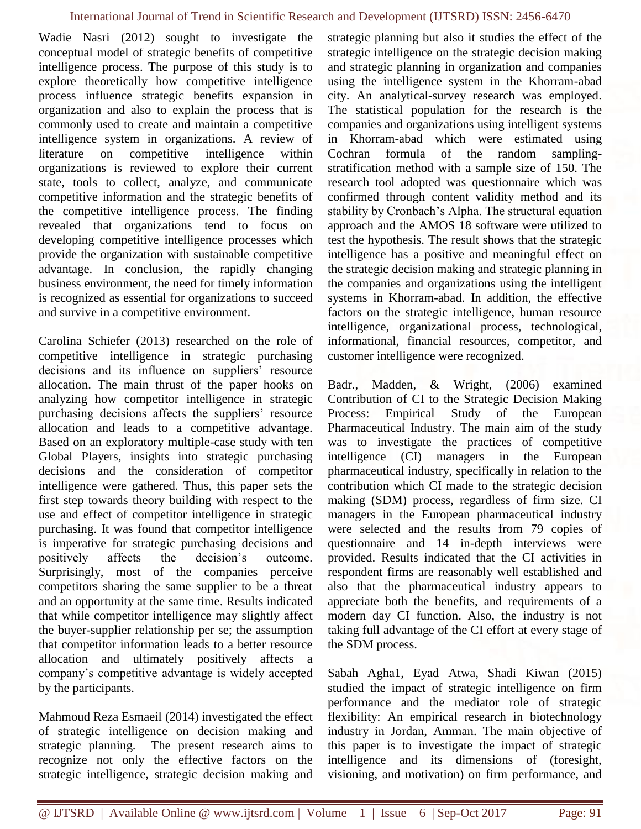Wadie Nasri (2012) sought to investigate the conceptual model of strategic benefits of competitive intelligence process. The purpose of this study is to explore theoretically how competitive intelligence process influence strategic benefits expansion in organization and also to explain the process that is commonly used to create and maintain a competitive intelligence system in organizations. A review of literature on competitive intelligence within organizations is reviewed to explore their current state, tools to collect, analyze, and communicate competitive information and the strategic benefits of the competitive intelligence process. The finding revealed that organizations tend to focus on developing competitive intelligence processes which provide the organization with sustainable competitive advantage. In conclusion, the rapidly changing business environment, the need for timely information is recognized as essential for organizations to succeed and survive in a competitive environment.

Carolina Schiefer (2013) researched on the role of competitive intelligence in strategic purchasing decisions and its influence on suppliers' resource allocation. The main thrust of the paper hooks on analyzing how competitor intelligence in strategic purchasing decisions affects the suppliers' resource allocation and leads to a competitive advantage. Based on an exploratory multiple-case study with ten Global Players, insights into strategic purchasing decisions and the consideration of competitor intelligence were gathered. Thus, this paper sets the first step towards theory building with respect to the use and effect of competitor intelligence in strategic purchasing. It was found that competitor intelligence is imperative for strategic purchasing decisions and positively affects the decision's outcome. Surprisingly, most of the companies perceive competitors sharing the same supplier to be a threat and an opportunity at the same time. Results indicated that while competitor intelligence may slightly affect the buyer-supplier relationship per se; the assumption that competitor information leads to a better resource allocation and ultimately positively affects a company's competitive advantage is widely accepted by the participants.

Mahmoud Reza Esmaeil (2014) investigated the effect of strategic intelligence on decision making and strategic planning. The present research aims to recognize not only the effective factors on the strategic intelligence, strategic decision making and strategic planning but also it studies the effect of the strategic intelligence on the strategic decision making and strategic planning in organization and companies using the intelligence system in the Khorram-abad city. An analytical-survey research was employed. The statistical population for the research is the companies and organizations using intelligent systems in Khorram-abad which were estimated using Cochran formula of the random samplingstratification method with a sample size of 150. The research tool adopted was questionnaire which was confirmed through content validity method and its stability by Cronbach's Alpha. The structural equation approach and the AMOS 18 software were utilized to test the hypothesis. The result shows that the strategic intelligence has a positive and meaningful effect on the strategic decision making and strategic planning in the companies and organizations using the intelligent systems in Khorram-abad. In addition, the effective factors on the strategic intelligence, human resource intelligence, organizational process, technological, informational, financial resources, competitor, and customer intelligence were recognized.

Badr., Madden, & Wright, (2006) examined Contribution of CI to the Strategic Decision Making Process: Empirical Study of the European Pharmaceutical Industry. The main aim of the study was to investigate the practices of competitive intelligence (CI) managers in the European pharmaceutical industry, specifically in relation to the contribution which CI made to the strategic decision making (SDM) process, regardless of firm size. CI managers in the European pharmaceutical industry were selected and the results from 79 copies of questionnaire and 14 in-depth interviews were provided. Results indicated that the CI activities in respondent firms are reasonably well established and also that the pharmaceutical industry appears to appreciate both the benefits, and requirements of a modern day CI function. Also, the industry is not taking full advantage of the CI effort at every stage of the SDM process.

Sabah Agha1, Eyad Atwa, Shadi Kiwan (2015) studied the impact of strategic intelligence on firm performance and the mediator role of strategic flexibility: An empirical research in biotechnology industry in Jordan, Amman. The main objective of this paper is to investigate the impact of strategic intelligence and its dimensions of (foresight, visioning, and motivation) on firm performance, and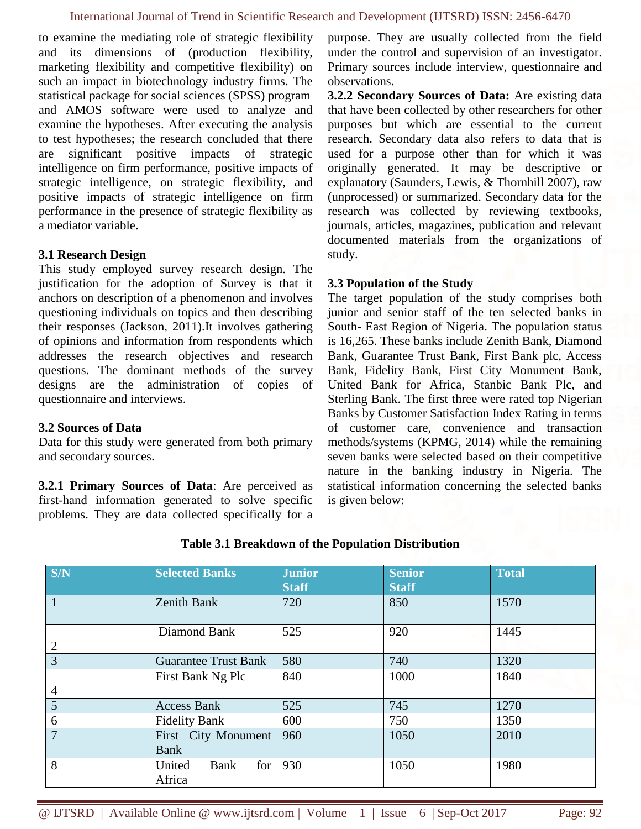to examine the mediating role of strategic flexibility and its dimensions of (production flexibility, marketing flexibility and competitive flexibility) on such an impact in biotechnology industry firms. The statistical package for social sciences (SPSS) program and AMOS software were used to analyze and examine the hypotheses. After executing the analysis to test hypotheses; the research concluded that there are significant positive impacts of strategic intelligence on firm performance, positive impacts of strategic intelligence, on strategic flexibility, and positive impacts of strategic intelligence on firm performance in the presence of strategic flexibility as a mediator variable.

# **3.1 Research Design**

This study employed survey research design. The justification for the adoption of Survey is that it anchors on description of a phenomenon and involves questioning individuals on topics and then describing their responses (Jackson, 2011).It involves gathering of opinions and information from respondents which addresses the research objectives and research questions. The dominant methods of the survey designs are the administration of copies of questionnaire and interviews.

# **3.2 Sources of Data**

Data for this study were generated from both primary and secondary sources.

**3.2.1 Primary Sources of Data**: Are perceived as first-hand information generated to solve specific problems. They are data collected specifically for a purpose. They are usually collected from the field under the control and supervision of an investigator. Primary sources include interview, questionnaire and observations.

**3.2.2 Secondary Sources of Data:** Are existing data that have been collected by other researchers for other purposes but which are essential to the current research. Secondary data also refers to data that is used for a purpose other than for which it was originally generated. It may be descriptive or explanatory (Saunders, Lewis, & Thornhill 2007), raw (unprocessed) or summarized. Secondary data for the research was collected by reviewing textbooks, journals, articles, magazines, publication and relevant documented materials from the organizations of study.

#### **3.3 Population of the Study**

The target population of the study comprises both junior and senior staff of the ten selected banks in South- East Region of Nigeria. The population status is 16,265. These banks include Zenith Bank, Diamond Bank, Guarantee Trust Bank, First Bank plc, Access Bank, Fidelity Bank, First City Monument Bank, United Bank for Africa, Stanbic Bank Plc, and Sterling Bank. The first three were rated top Nigerian Banks by Customer Satisfaction Index Rating in terms of customer care, convenience and transaction methods/systems (KPMG, 2014) while the remaining seven banks were selected based on their competitive nature in the banking industry in Nigeria. The statistical information concerning the selected banks is given below:

| S/N            | <b>Selected Banks</b>           | <b>Junior</b><br><b>Staff</b> | <b>Senior</b><br><b>Staff</b> | <b>Total</b> |
|----------------|---------------------------------|-------------------------------|-------------------------------|--------------|
|                | <b>Zenith Bank</b>              | 720                           | 850                           | 1570         |
| $\overline{2}$ | Diamond Bank                    | 525                           | 920                           | 1445         |
| $\overline{3}$ | <b>Guarantee Trust Bank</b>     | 580                           | 740                           | 1320         |
| 4              | First Bank Ng Plc               | 840                           | 1000                          | 1840         |
| 5              | <b>Access Bank</b>              | 525                           | 745                           | 1270         |
| 6              | <b>Fidelity Bank</b>            | 600                           | 750                           | 1350         |
| 7              | First City Monument<br>Bank     | 960                           | 1050                          | 2010         |
| 8              | for<br>United<br>Bank<br>Africa | 930                           | 1050                          | 1980         |

# **Table 3.1 Breakdown of the Population Distribution**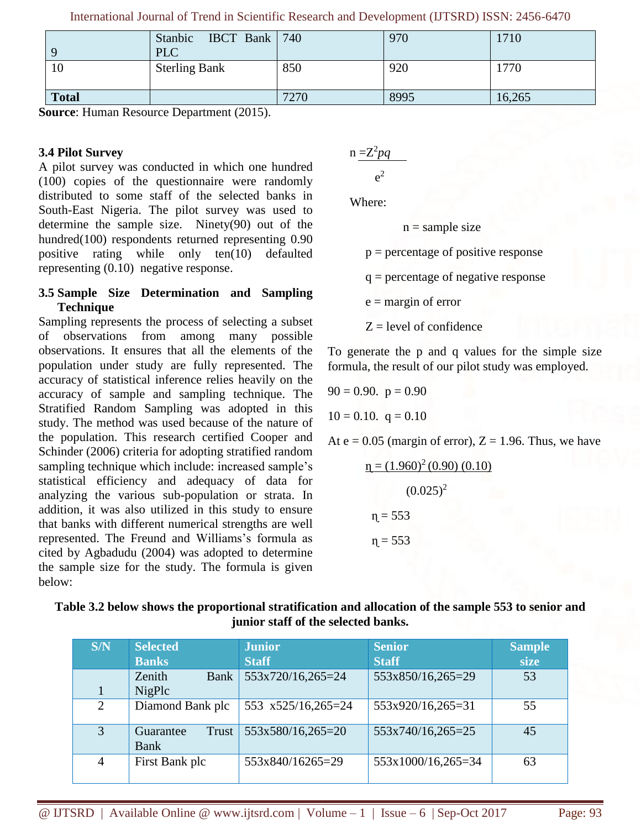International Journal of Trend in Scientific Research and Development (IJTSRD) ISSN: 2456-6470

| $\mathbf Q$  | IBCT Bank $\vert$ 740<br>Stanbic<br>PLC |      | 970  | 1710   |
|--------------|-----------------------------------------|------|------|--------|
| 10           | <b>Sterling Bank</b>                    | 850  | 920  | 1770   |
| <b>Total</b> |                                         | 7270 | 8995 | 16,265 |

**Source**: Human Resource Department (2015).

# **3.4 Pilot Survey**

A pilot survey was conducted in which one hundred (100) copies of the questionnaire were randomly distributed to some staff of the selected banks in South-East Nigeria. The pilot survey was used to determine the sample size. Ninety(90) out of the hundred(100) respondents returned representing 0.90 positive rating while only ten(10) defaulted representing (0.10) negative response.

# **3.5 Sample Size Determination and Sampling Technique**

Sampling represents the process of selecting a subset of observations from among many possible observations. It ensures that all the elements of the population under study are fully represented. The accuracy of statistical inference relies heavily on the accuracy of sample and sampling technique. The Stratified Random Sampling was adopted in this study. The method was used because of the nature of the population. This research certified Cooper and Schinder (2006) criteria for adopting stratified random sampling technique which include: increased sample's statistical efficiency and adequacy of data for analyzing the various sub-population or strata. In addition, it was also utilized in this study to ensure that banks with different numerical strengths are well represented. The Freund and Williams's formula as cited by Agbadudu (2004) was adopted to determine the sample size for the study. The formula is given below:

$$
n \frac{=}Z^2pq}{e^2}
$$

Where:

e

 $n =$ sample size

 $p =$  percentage of positive response

q = percentage of negative response

 $e =$  margin of error

 $Z = level of confidence$ 

To generate the p and q values for the simple size formula, the result of our pilot study was employed.

$$
90 = 0.90. \quad p = 0.90
$$

$$
10 = 0.10. \quad q = 0.10
$$

At  $e = 0.05$  (margin of error),  $Z = 1.96$ . Thus, we have

$$
n = (1.960)^{2} (0.90) (0.10)
$$
  

$$
(0.025)^{2}
$$
  

$$
n = 553
$$
  

$$
n = 553
$$

| Table 3.2 below shows the proportional stratification and allocation of the sample 553 to senior and |
|------------------------------------------------------------------------------------------------------|
| junior staff of the selected banks.                                                                  |

| S/N            | <b>Selected</b><br><b>Banks</b> | <b>Junior</b><br><b>Staff</b> | <b>Senior</b><br><b>Staff</b> | <b>Sample</b><br>size |
|----------------|---------------------------------|-------------------------------|-------------------------------|-----------------------|
|                | Zenith<br><b>Bank</b><br>NigPlc | 553x720/16,265=24             | 553x850/16,265=29             | 53                    |
| 2              | Diamond Bank plc                | 553 x525/16,265=24            | 553x920/16,265=31             | 55                    |
| 3              | Trust<br>Guarantee<br>Bank      | 553x580/16,265=20             | 553x740/16,265=25             | 45                    |
| $\overline{4}$ | First Bank plc                  | 553x840/16265=29              | 553x1000/16,265=34            | 63                    |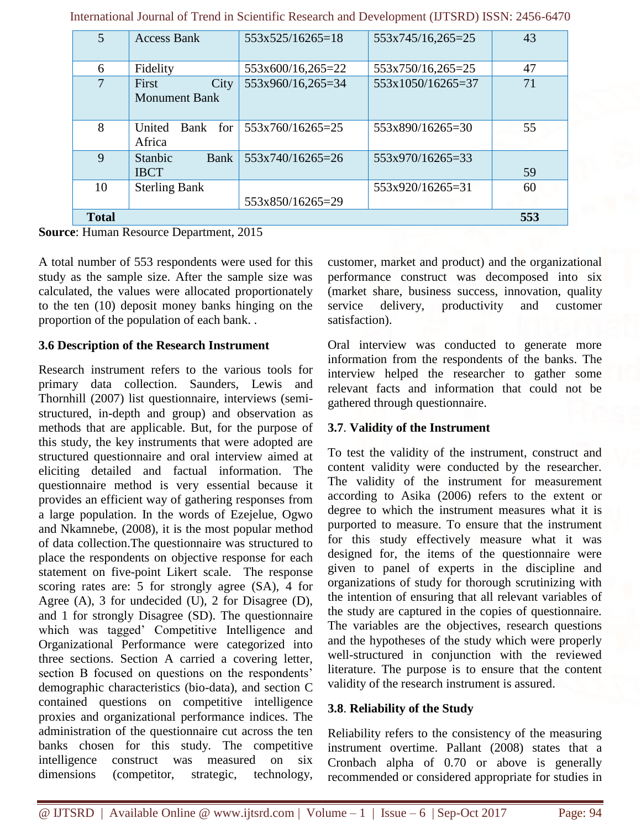| 5 <sup>5</sup>                  | <b>Access Bank</b>                    | $553x525/16265=18$ | 553x745/16,265=25 | 43  |
|---------------------------------|---------------------------------------|--------------------|-------------------|-----|
| 6                               | Fidelity                              | 553x600/16,265=22  | 553x750/16,265=25 | 47  |
| 7                               | City<br>First<br><b>Monument Bank</b> | 553x960/16,265=34  | 553x1050/16265=37 | 71  |
| 8                               | Bank for<br>United<br>Africa          | 553x760/16265=25   | 553x890/16265=30  | 55  |
| 9                               | Stanbic<br><b>Bank</b><br><b>IBCT</b> | 553x740/16265=26   | 553x970/16265=33  | 59  |
| 10                              | <b>Sterling Bank</b>                  | 553x850/16265=29   | 553x920/16265=31  | 60  |
| <b>Total</b><br><b>TT</b><br>T. | $\mathbf{r}$ . The state $\mathbf{r}$ | $\sim$ 0.01 $\sim$ |                   | 553 |

International Journal of Trend in Scientific Research and Development (IJTSRD) ISSN: 2456-6470

**Source**: Human Resource Department, 2015

A total number of 553 respondents were used for this study as the sample size. After the sample size was calculated, the values were allocated proportionately to the ten (10) deposit money banks hinging on the proportion of the population of each bank. .

#### **3.6 Description of the Research Instrument**

Research instrument refers to the various tools for primary data collection. Saunders, Lewis and Thornhill (2007) list questionnaire, interviews (semistructured, in-depth and group) and observation as methods that are applicable. But, for the purpose of this study, the key instruments that were adopted are structured questionnaire and oral interview aimed at eliciting detailed and factual information. The questionnaire method is very essential because it provides an efficient way of gathering responses from a large population. In the words of Ezejelue, Ogwo and Nkamnebe, (2008), it is the most popular method of data collection.The questionnaire was structured to place the respondents on objective response for each statement on five-point Likert scale. The response scoring rates are: 5 for strongly agree (SA), 4 for Agree (A), 3 for undecided (U), 2 for Disagree (D), and 1 for strongly Disagree (SD). The questionnaire which was tagged' Competitive Intelligence and Organizational Performance were categorized into three sections. Section A carried a covering letter, section B focused on questions on the respondents' demographic characteristics (bio-data), and section C contained questions on competitive intelligence proxies and organizational performance indices. The administration of the questionnaire cut across the ten banks chosen for this study. The competitive intelligence construct was measured on six dimensions (competitor, strategic, technology, customer, market and product) and the organizational performance construct was decomposed into six (market share, business success, innovation, quality service delivery, productivity and customer satisfaction).

Oral interview was conducted to generate more information from the respondents of the banks. The interview helped the researcher to gather some relevant facts and information that could not be gathered through questionnaire.

# **3.7**. **Validity of the Instrument**

To test the validity of the instrument, construct and content validity were conducted by the researcher. The validity of the instrument for measurement according to Asika (2006) refers to the extent or degree to which the instrument measures what it is purported to measure. To ensure that the instrument for this study effectively measure what it was designed for, the items of the questionnaire were given to panel of experts in the discipline and organizations of study for thorough scrutinizing with the intention of ensuring that all relevant variables of the study are captured in the copies of questionnaire. The variables are the objectives, research questions and the hypotheses of the study which were properly well-structured in conjunction with the reviewed literature. The purpose is to ensure that the content validity of the research instrument is assured.

# **3.8**. **Reliability of the Study**

Reliability refers to the consistency of the measuring instrument overtime. Pallant (2008) states that a Cronbach alpha of 0.70 or above is generally recommended or considered appropriate for studies in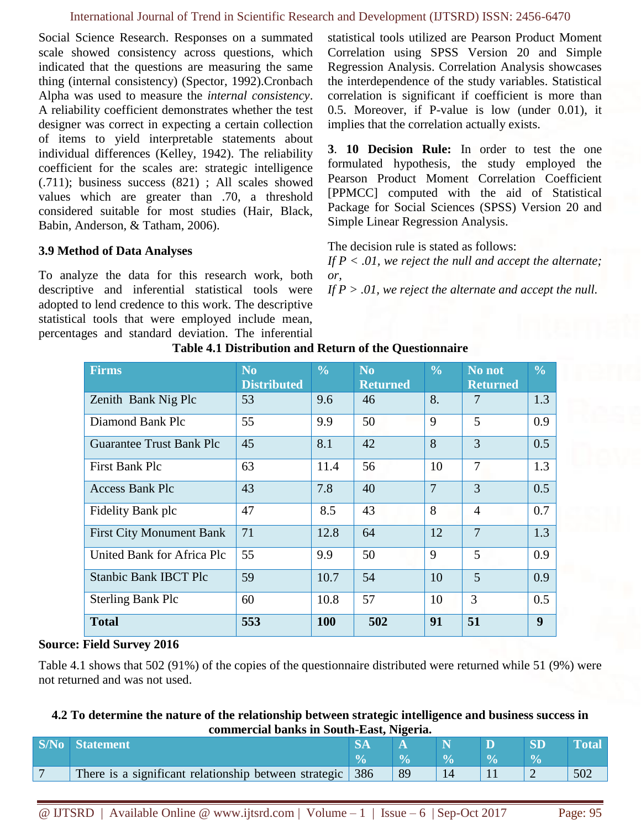#### International Journal of Trend in Scientific Research and Development (IJTSRD) ISSN: 2456-6470

Social Science Research. Responses on a summated scale showed consistency across questions, which indicated that the questions are measuring the same thing (internal consistency) (Spector, 1992).Cronbach Alpha was used to measure the *internal consistency*. A reliability coefficient demonstrates whether the test designer was correct in expecting a certain collection of items to yield interpretable statements about individual differences (Kelley, 1942). The reliability coefficient for the scales are: strategic intelligence (.711); business success (821) ; All scales showed values which are greater than .70, a threshold considered suitable for most studies (Hair, Black, Babin, Anderson, & Tatham, 2006).

# **3.9 Method of Data Analyses**

To analyze the data for this research work, both descriptive and inferential statistical tools were adopted to lend credence to this work. The descriptive statistical tools that were employed include mean, percentages and standard deviation. The inferential statistical tools utilized are Pearson Product Moment Correlation using SPSS Version 20 and Simple Regression Analysis. Correlation Analysis showcases the interdependence of the study variables. Statistical correlation is significant if coefficient is more than 0.5. Moreover, if P-value is low (under 0.01), it implies that the correlation actually exists.

**3**. **10 Decision Rule:** In order to test the one formulated hypothesis, the study employed the Pearson Product Moment Correlation Coefficient [PPMCC] computed with the aid of Statistical Package for Social Sciences (SPSS) Version 20 and Simple Linear Regression Analysis.

The decision rule is stated as follows:

*If P < .01, we reject the null and accept the alternate; or,* 

*If P > .01, we reject the alternate and accept the null.*

| Firms                           | N <sub>0</sub><br><b>Distributed</b> | $\frac{0}{0}$ | N <sub>0</sub><br><b>Returned</b> | $\frac{0}{0}$  | No not<br><b>Returned</b> | $\frac{0}{0}$ |
|---------------------------------|--------------------------------------|---------------|-----------------------------------|----------------|---------------------------|---------------|
| Zenith Bank Nig Plc             | 53                                   | 9.6           | 46                                | 8.             | 7                         | 1.3           |
| Diamond Bank Plc                | 55                                   | 9.9           | 50                                | 9              | 5                         | 0.9           |
| <b>Guarantee Trust Bank Plc</b> | 45                                   | 8.1           | 42                                | 8              | 3                         | 0.5           |
| First Bank Plc                  | 63                                   | 11.4          | 56                                | 10             | 7                         | 1.3           |
| <b>Access Bank Plc</b>          | 43                                   | 7.8           | 40                                | $\overline{7}$ | 3                         | 0.5           |
| Fidelity Bank plc               | 47                                   | 8.5           | 43                                | 8              | $\overline{4}$            | 0.7           |
| <b>First City Monument Bank</b> | 71                                   | 12.8          | 64                                | 12             | $\overline{7}$            | 1.3           |
| United Bank for Africa Plc      | 55                                   | 9.9           | 50                                | 9              | 5                         | 0.9           |
| <b>Stanbic Bank IBCT Plc</b>    | 59                                   | 10.7          | 54                                | 10             | 5                         | 0.9           |
| <b>Sterling Bank Plc</b>        | 60                                   | 10.8          | 57                                | 10             | 3                         | 0.5           |
| <b>Total</b>                    | 553                                  | 100           | 502                               | 91             | 51                        | 9             |

**Table 4.1 Distribution and Return of the Questionnaire**

# **Source: Field Survey 2016**

Table 4.1 shows that 502 (91%) of the copies of the questionnaire distributed were returned while 51 (9%) were not returned and was not used.

# **4.2 To determine the nature of the relationship between strategic intelligence and business success in commercial banks in South-East, Nigeria.**

| <b>S/No</b> Statement                                     |    |  |     |
|-----------------------------------------------------------|----|--|-----|
|                                                           |    |  |     |
| There is a significant relationship between strategic 386 | 89 |  | 502 |

@ IJTSRD | Available Online @ www.ijtsrd.com | Volume – 1 | Issue – 6 | Sep-Oct 2017 Page: 95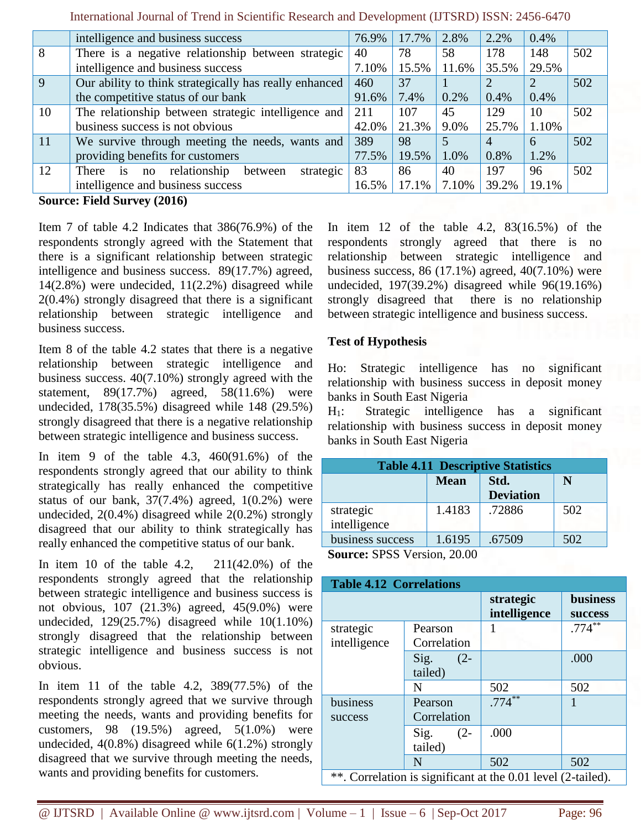|        | intelligence and business success                                                                                                                                                                                                                                                                                                  | 76.9% | 17.7% | 2.8%    | 2.2%  | 0.4%  |     |
|--------|------------------------------------------------------------------------------------------------------------------------------------------------------------------------------------------------------------------------------------------------------------------------------------------------------------------------------------|-------|-------|---------|-------|-------|-----|
| 8      | There is a negative relationship between strategic                                                                                                                                                                                                                                                                                 | 40    | 78    | 58      | 178   | 148   | 502 |
|        | intelligence and business success                                                                                                                                                                                                                                                                                                  | 7.10% | 15.5% | 11.6%   | 35.5% | 29.5% |     |
| 9      | Our ability to think strategically has really enhanced                                                                                                                                                                                                                                                                             | 460   | 37    |         |       |       | 502 |
|        | the competitive status of our bank                                                                                                                                                                                                                                                                                                 | 91.6% | 7.4%  | $0.2\%$ | 0.4%  | 0.4%  |     |
| 10     | The relationship between strategic intelligence and                                                                                                                                                                                                                                                                                | 211   | 107   | 45      | 129   | 10    | 502 |
|        | business success is not obvious                                                                                                                                                                                                                                                                                                    | 42.0% | 21.3% | 9.0%    | 25.7% | 1.10% |     |
| 11     | We survive through meeting the needs, wants and                                                                                                                                                                                                                                                                                    | 389   | 98    |         | 4     | 6     | 502 |
|        | providing benefits for customers                                                                                                                                                                                                                                                                                                   | 77.5% | 19.5% | 1.0%    | 0.8%  | 1.2%  |     |
| 12     | strategic<br>is no relationship<br>between<br>There                                                                                                                                                                                                                                                                                | 83    | 86    | 40      | 197   | 96    | 502 |
|        | intelligence and business success                                                                                                                                                                                                                                                                                                  | 16.5% | 17.1% | 7.10%   | 39.2% | 19.1% |     |
| $\sim$ | $\mathbf{E}$ $\mathbf{E}$ $\mathbf{E}$ $\mathbf{E}$ $\mathbf{E}$ $\mathbf{E}$ $\mathbf{E}$ $\mathbf{E}$ $\mathbf{E}$ $\mathbf{E}$ $\mathbf{E}$ $\mathbf{E}$ $\mathbf{E}$ $\mathbf{E}$ $\mathbf{E}$ $\mathbf{E}$ $\mathbf{E}$ $\mathbf{E}$ $\mathbf{E}$ $\mathbf{E}$ $\mathbf{E}$ $\mathbf{E}$ $\mathbf{E}$ $\mathbf{E}$ $\mathbf{$ |       |       |         |       |       |     |

International Journal of Trend in Scientific Research and Development (IJTSRD) ISSN: 2456-6470

**Source: Field Survey (2016)**

Item 7 of table 4.2 Indicates that 386(76.9%) of the respondents strongly agreed with the Statement that there is a significant relationship between strategic intelligence and business success. 89(17.7%) agreed, 14(2.8%) were undecided, 11(2.2%) disagreed while 2(0.4%) strongly disagreed that there is a significant relationship between strategic intelligence and business success.

Item 8 of the table 4.2 states that there is a negative relationship between strategic intelligence and business success. 40(7.10%) strongly agreed with the statement, 89(17.7%) agreed, 58(11.6%) were undecided, 178(35.5%) disagreed while 148 (29.5%) strongly disagreed that there is a negative relationship between strategic intelligence and business success.

In item 9 of the table 4.3, 460(91.6%) of the respondents strongly agreed that our ability to think strategically has really enhanced the competitive status of our bank,  $37(7.4%)$  agreed,  $1(0.2%)$  were undecided, 2(0.4%) disagreed while 2(0.2%) strongly disagreed that our ability to think strategically has really enhanced the competitive status of our bank.

In item 10 of the table 4.2, 211(42.0%) of the respondents strongly agreed that the relationship between strategic intelligence and business success is not obvious, 107 (21.3%) agreed, 45(9.0%) were undecided, 129(25.7%) disagreed while 10(1.10%) strongly disagreed that the relationship between strategic intelligence and business success is not obvious.

In item 11 of the table 4.2, 389(77.5%) of the respondents strongly agreed that we survive through meeting the needs, wants and providing benefits for customers, 98  $(19.5\%)$  agreed,  $5(1.0\%)$  were undecided, 4(0.8%) disagreed while 6(1.2%) strongly disagreed that we survive through meeting the needs, wants and providing benefits for customers.

In item 12 of the table 4.2, 83(16.5%) of the respondents strongly agreed that there is no relationship between strategic intelligence and business success,  $86$  (17.1%) agreed,  $40(7.10%)$  were undecided, 197(39.2%) disagreed while 96(19.16%) strongly disagreed that there is no relationship between strategic intelligence and business success.

# **Test of Hypothesis**

Ho: Strategic intelligence has no significant relationship with business success in deposit money banks in South East Nigeria

H1: Strategic intelligence has a significant relationship with business success in deposit money banks in South East Nigeria

| <b>Table 4.11 Descriptive Statistics</b> |        |                            |     |  |  |  |  |  |
|------------------------------------------|--------|----------------------------|-----|--|--|--|--|--|
| <b>Mean</b><br>Std.<br>N                 |        |                            |     |  |  |  |  |  |
|                                          |        | <b>Deviation</b>           |     |  |  |  |  |  |
| strategic                                | 1.4183 | .72886                     | 502 |  |  |  |  |  |
| intelligence                             |        |                            |     |  |  |  |  |  |
| business success                         | 1.6195 | .67509                     | 502 |  |  |  |  |  |
|                                          |        | Cource: SDSS Version 20.00 |     |  |  |  |  |  |

**Source:** SPSS Version, 20.00

| <b>Table 4.12 Correlations</b> |                           |                                                              |                                   |  |  |  |  |
|--------------------------------|---------------------------|--------------------------------------------------------------|-----------------------------------|--|--|--|--|
|                                |                           | strategic<br>intelligence                                    | <b>business</b><br><b>SUCCESS</b> |  |  |  |  |
| strategic<br>intelligence      | Pearson<br>Correlation    |                                                              | $.774***$                         |  |  |  |  |
|                                | Sig.<br>$(2 -$<br>tailed) |                                                              | .000                              |  |  |  |  |
|                                | N                         | 502                                                          | 502                               |  |  |  |  |
| business<br>success            | Pearson<br>Correlation    | $.774***$                                                    |                                   |  |  |  |  |
|                                | Sig.<br>$(2 -$<br>tailed) | .000                                                         |                                   |  |  |  |  |
|                                | N                         | 502                                                          | 502                               |  |  |  |  |
|                                |                           | **. Correlation is significant at the 0.01 level (2-tailed). |                                   |  |  |  |  |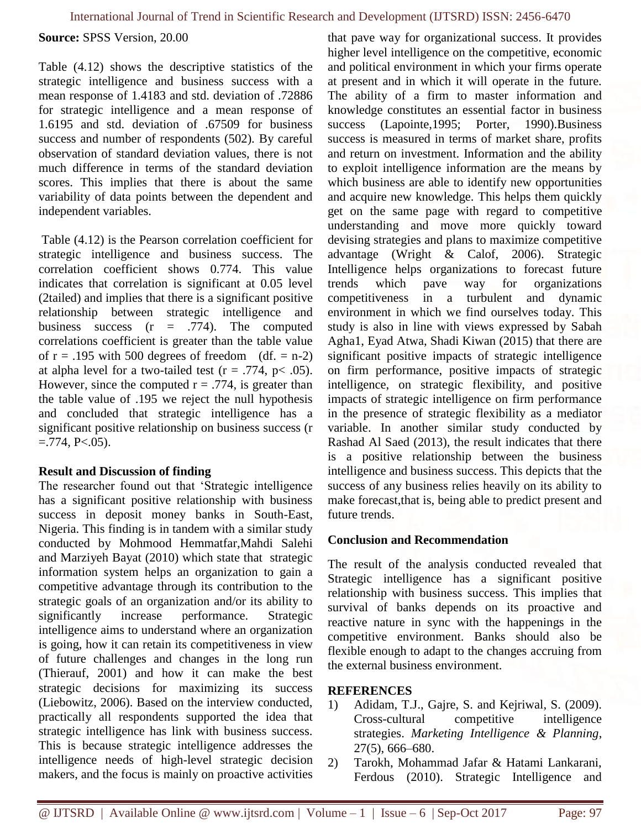**Source:** SPSS Version, 20.00

Table (4.12) shows the descriptive statistics of the strategic intelligence and business success with a mean response of 1.4183 and std. deviation of .72886 for strategic intelligence and a mean response of 1.6195 and std. deviation of .67509 for business success and number of respondents (502). By careful observation of standard deviation values, there is not much difference in terms of the standard deviation scores. This implies that there is about the same variability of data points between the dependent and independent variables.

Table (4.12) is the Pearson correlation coefficient for strategic intelligence and business success. The correlation coefficient shows 0.774. This value indicates that correlation is significant at 0.05 level (2tailed) and implies that there is a significant positive relationship between strategic intelligence and business success  $(r = .774)$ . The computed correlations coefficient is greater than the table value of  $r = .195$  with 500 degrees of freedom (df. = n-2) at alpha level for a two-tailed test ( $r = .774$ ,  $p < .05$ ). However, since the computed  $r = .774$ , is greater than the table value of .195 we reject the null hypothesis and concluded that strategic intelligence has a significant positive relationship on business success (r  $=$ .774, P $<$ .05).

# **Result and Discussion of finding**

The researcher found out that 'Strategic intelligence has a significant positive relationship with business success in deposit money banks in South-East, Nigeria. This finding is in tandem with a similar study conducted by Mohmood Hemmatfar,Mahdi Salehi and Marziyeh Bayat (2010) which state that strategic information system helps an organization to gain a competitive advantage through its contribution to the strategic goals of an organization and/or its ability to significantly increase performance. Strategic intelligence aims to understand where an organization is going, how it can retain its competitiveness in view of future challenges and changes in the long run (Thierauf, 2001) and how it can make the best strategic decisions for maximizing its success (Liebowitz, 2006). Based on the interview conducted, practically all respondents supported the idea that strategic intelligence has link with business success. This is because strategic intelligence addresses the intelligence needs of high-level strategic decision makers, and the focus is mainly on proactive activities

that pave way for organizational success. It provides higher level intelligence on the competitive, economic and political environment in which your firms operate at present and in which it will operate in the future. The ability of a firm to master information and knowledge constitutes an essential factor in business success (Lapointe, 1995; Porter, 1990). Business success is measured in terms of market share, profits and return on investment. Information and the ability to exploit intelligence information are the means by which business are able to identify new opportunities and acquire new knowledge. This helps them quickly get on the same page with regard to competitive understanding and move more quickly toward devising strategies and plans to maximize competitive advantage (Wright & Calof, 2006). Strategic Intelligence helps organizations to forecast future trends which pave way for organizations competitiveness in a turbulent and dynamic environment in which we find ourselves today. This study is also in line with views expressed by Sabah Agha1, Eyad Atwa, Shadi Kiwan (2015) that there are significant positive impacts of strategic intelligence on firm performance, positive impacts of strategic intelligence, on strategic flexibility, and positive impacts of strategic intelligence on firm performance in the presence of strategic flexibility as a mediator variable. In another similar study conducted by Rashad Al Saed (2013), the result indicates that there is a positive relationship between the business intelligence and business success. This depicts that the success of any business relies heavily on its ability to make forecast, that is, being able to predict present and future trends.

# **Conclusion and Recommendation**

The result of the analysis conducted revealed that Strategic intelligence has a significant positive relationship with business success. This implies that survival of banks depends on its proactive and reactive nature in sync with the happenings in the competitive environment. Banks should also be flexible enough to adapt to the changes accruing from the external business environment.

# **REFERENCES**

- 1) Adidam, T.J., Gajre, S. and Kejriwal, S. (2009). Cross-cultural competitive intelligence strategies. *Marketing Intelligence & Planning*, 27(5), 666–680.
- 2) Tarokh, Mohammad Jafar & Hatami Lankarani, Ferdous (2010). Strategic Intelligence and